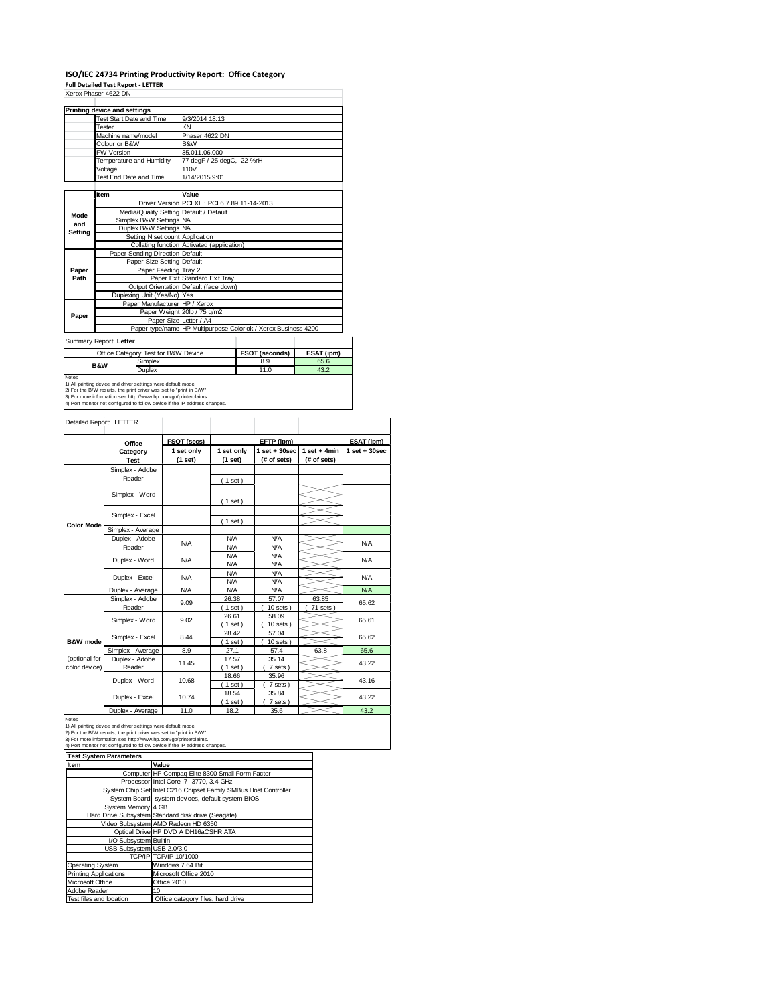## **ISO/IEC 24734 Printing Productivity Report: Office Category Full Detailed Test Report ‐ LETTER**

|         | Xerox Phaser 4622 DN                                                                                                                                                                                                                                                                  |                                                                |                               |                |                   |                |                   |  |
|---------|---------------------------------------------------------------------------------------------------------------------------------------------------------------------------------------------------------------------------------------------------------------------------------------|----------------------------------------------------------------|-------------------------------|----------------|-------------------|----------------|-------------------|--|
|         | <b>Printing device and settings</b>                                                                                                                                                                                                                                                   |                                                                |                               |                |                   |                |                   |  |
|         | <b>Test Start Date and Time</b>                                                                                                                                                                                                                                                       | 9/3/2014 18:13                                                 |                               |                |                   |                |                   |  |
|         | Tester                                                                                                                                                                                                                                                                                | KN                                                             |                               |                |                   |                |                   |  |
|         | Machine name/model                                                                                                                                                                                                                                                                    |                                                                | Phaser 4622 DN                |                |                   |                |                   |  |
|         | Colour or B&W                                                                                                                                                                                                                                                                         | B&W                                                            |                               |                |                   |                |                   |  |
|         | <b>FW Version</b>                                                                                                                                                                                                                                                                     | 35.011.06.000                                                  |                               |                |                   |                |                   |  |
|         | Temperature and Humidity                                                                                                                                                                                                                                                              |                                                                | 77 degF / 25 degC, 22 %rH     |                |                   |                |                   |  |
|         | Voltage                                                                                                                                                                                                                                                                               | 110V                                                           |                               |                |                   |                |                   |  |
|         | Test End Date and Time                                                                                                                                                                                                                                                                | 1/14/2015 9:01                                                 |                               |                |                   |                |                   |  |
|         |                                                                                                                                                                                                                                                                                       | Value                                                          |                               |                |                   |                |                   |  |
|         | Item                                                                                                                                                                                                                                                                                  | Driver Version PCLXL: PCL6 7.89 11-14-2013                     |                               |                |                   |                |                   |  |
|         |                                                                                                                                                                                                                                                                                       |                                                                |                               |                |                   |                |                   |  |
| Mode    |                                                                                                                                                                                                                                                                                       | Media/Quality Setting Default / Default                        |                               |                |                   |                |                   |  |
| and     | Simplex B&W Settings NA                                                                                                                                                                                                                                                               |                                                                |                               |                |                   |                |                   |  |
| Setting | Duplex B&W Settings NA                                                                                                                                                                                                                                                                |                                                                |                               |                |                   |                |                   |  |
|         |                                                                                                                                                                                                                                                                                       | Setting N set count Application                                |                               |                |                   |                |                   |  |
|         |                                                                                                                                                                                                                                                                                       | Collating function Activated (application)                     |                               |                |                   |                |                   |  |
|         | Paper Sending Direction Default                                                                                                                                                                                                                                                       |                                                                |                               |                |                   |                |                   |  |
|         |                                                                                                                                                                                                                                                                                       | Paper Size Setting Default                                     |                               |                |                   |                |                   |  |
| Paper   |                                                                                                                                                                                                                                                                                       | Paper Feeding Tray 2                                           |                               |                |                   |                |                   |  |
| Path    |                                                                                                                                                                                                                                                                                       | Paper Exit Standard Exit Tray                                  |                               |                |                   |                |                   |  |
|         | Duplexing Unit (Yes/No) Yes                                                                                                                                                                                                                                                           | Output Orientation Default (face down)                         |                               |                |                   |                |                   |  |
|         |                                                                                                                                                                                                                                                                                       |                                                                |                               |                |                   |                |                   |  |
|         |                                                                                                                                                                                                                                                                                       | Paper Manufacturer HP / Xerox<br>Paper Weight 20lb / 75 g/m2   |                               |                |                   |                |                   |  |
| Paper   |                                                                                                                                                                                                                                                                                       | Paper Size Letter / A4                                         |                               |                |                   |                |                   |  |
|         |                                                                                                                                                                                                                                                                                       | Paper type/name HP Multipurpose Colorlok / Xerox Business 4200 |                               |                |                   |                |                   |  |
|         |                                                                                                                                                                                                                                                                                       |                                                                |                               |                |                   |                |                   |  |
|         | Summary Report: Letter                                                                                                                                                                                                                                                                |                                                                |                               |                |                   |                |                   |  |
|         | Office Category Test for B&W Device                                                                                                                                                                                                                                                   |                                                                |                               | FSOT (seconds) |                   | ESAT (ipm)     |                   |  |
|         | Simplex<br><b>B&amp;W</b>                                                                                                                                                                                                                                                             |                                                                |                               |                | 8.9               | 65.6           |                   |  |
|         | Duplex                                                                                                                                                                                                                                                                                |                                                                | 11.0<br>43.2                  |                |                   |                |                   |  |
| Notes   | 1) All printing device and driver settings were default mode.<br>2) For the B/W results, the print driver was set to "print in B/W".<br>3) For more information see http://www.hp.com/go/printerclaims.<br>4) Port monitor not configured to follow device if the IP address changes. |                                                                |                               |                |                   |                |                   |  |
|         | Detailed Report: LETTER                                                                                                                                                                                                                                                               |                                                                |                               |                |                   |                |                   |  |
|         |                                                                                                                                                                                                                                                                                       | FSOT (secs)                                                    |                               |                | EFTP (ipm)        |                | ESAT (ipm)        |  |
|         | Office                                                                                                                                                                                                                                                                                | 1 set only                                                     | 1 set only                    |                | $1$ set $+30$ sec | $1$ set + 4min | $1$ set $+30$ sec |  |
|         | Category<br><b>Test</b>                                                                                                                                                                                                                                                               | (1 set)                                                        | (1 set)                       |                | (# of sets)       | (# of sets)    |                   |  |
|         | Simplex - Adobe<br>Reader                                                                                                                                                                                                                                                             |                                                                |                               |                |                   |                |                   |  |
|         |                                                                                                                                                                                                                                                                                       |                                                                | $\lambda$ $\lambda$ $\lambda$ |                |                   |                |                   |  |

|                   | טעטאז הטועדווט    |            |            |               |         |            |
|-------------------|-------------------|------------|------------|---------------|---------|------------|
|                   | Reader            |            | (1 set)    |               |         |            |
|                   |                   |            |            |               |         |            |
|                   | Simplex - Word    |            | (1 set)    |               |         |            |
|                   |                   |            |            |               |         |            |
| <b>Color Mode</b> | Simplex - Excel   |            | $1$ set)   |               |         |            |
|                   | Simplex - Average |            |            |               |         |            |
|                   | Duplex - Adobe    | <b>N/A</b> | <b>N/A</b> | <b>N/A</b>    |         | <b>N/A</b> |
|                   | Reader            |            | <b>N/A</b> | <b>N/A</b>    |         |            |
|                   | Duplex - Word     | <b>N/A</b> | <b>N/A</b> | <b>N/A</b>    |         | <b>N/A</b> |
|                   |                   |            | <b>N/A</b> | <b>N/A</b>    |         |            |
|                   | Duplex - Excel    | <b>N/A</b> | <b>N/A</b> | <b>N/A</b>    |         | <b>N/A</b> |
|                   |                   |            | <b>N/A</b> | <b>N/A</b>    |         |            |
|                   | Duplex - Average  | <b>N/A</b> | <b>N/A</b> | <b>N/A</b>    |         | <b>N/A</b> |
|                   | Simplex - Adobe   | 9.09       | 26.38      | 57.07         | 63.85   | 65.62      |
|                   | Reader            |            | $1$ set)   | 10 sets       | 71 sets |            |
|                   | Simplex - Word    | 9.02       | 26.61      | 58.09         |         | 65.61      |
|                   |                   |            | 1 set)     | $10$ sets $)$ |         |            |
|                   | Simplex - Excel   | 8.44       | 28.42      | 57.04         |         | 65.62      |
| B&W mode          |                   |            | $1$ set)   | $10$ sets $)$ |         |            |
|                   | Simplex - Average | 8.9        | 27.1       | 57.4          | 63.8    | 65.6       |
| (optional for     | Duplex - Adobe    | 11.45      | 17.57      | 35.14         |         | 43.22      |
| color device)     | Reader            |            | $1$ set)   | 7 sets)       |         |            |
|                   | Duplex - Word     | 10.68      | 18.66      | 35.96         |         | 43.16      |
|                   |                   |            | $1$ set)   | 7 sets)       |         |            |
|                   | Duplex - Excel    | 10.74      | 18.54      | 35.84         |         | 43.22      |
|                   |                   |            | $1$ set)   | 7 sets)       |         |            |
|                   | Duplex - Average  | 11.0       | 18.2       | 35.6          |         | 43.2       |

Notes<br>1) All printing device and driver settings were default mode.<br>2) For the B/W results, the print driver was set to "print in B/W".<br>3) For more information see http://www.hp.com/go/printerclaims.<br>4) Port monitor not co

| <b>Test System Parameters</b> |                                                                 |
|-------------------------------|-----------------------------------------------------------------|
| <b>Item</b>                   | Value                                                           |
|                               | Computer HP Compaq Elite 8300 Small Form Factor                 |
|                               | Processor Intel Core i7 -3770, 3.4 GHz                          |
|                               | System Chip Set Intel C216 Chipset Family SMBus Host Controller |
|                               | System Board system devices, default system BIOS                |
| System Memory 4 GB            |                                                                 |
|                               | Hard Drive Subsystem Standard disk drive (Seagate)              |
|                               | Video Subsystem AMD Radeon HD 6350                              |
|                               | Optical Drive HP DVD A DH16aCSHR ATA                            |
| I/O Subsystem Builtin         |                                                                 |
| USB Subsystem USB 2.0/3.0     |                                                                 |
|                               | TCP/IP TCP/IP 10/1000                                           |
| <b>Operating System</b>       | Windows 7 64 Bit                                                |
| <b>Printing Applications</b>  | Microsoft Office 2010                                           |
| Microsoft Office              | Office 2010                                                     |
| Adobe Reader                  | 10                                                              |
| Test files and location       | Office category files, hard drive                               |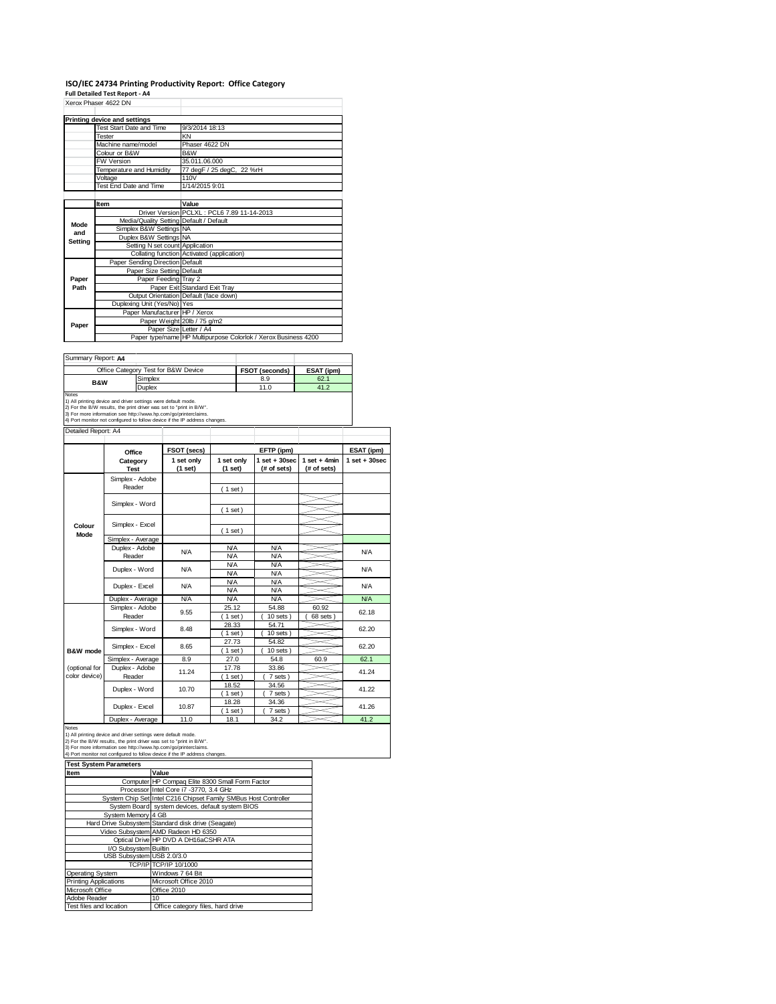## **ISO/IEC 24734 Printing Productivity Report: Office Category Full Detailed Test Report ‐ A4** Xerox Phaser 4622 DN

|         | AUUX FIIdSU 4022 DIY                    |                                                                |
|---------|-----------------------------------------|----------------------------------------------------------------|
|         | Printing device and settings            |                                                                |
|         | Test Start Date and Time                | 9/3/2014 18:13                                                 |
|         | Tester                                  | KN                                                             |
|         | Machine name/model                      | Phaser 4622 DN                                                 |
|         | Colour or B&W                           | B&W                                                            |
|         | <b>FW Version</b>                       | 35.011.06.000                                                  |
|         | Temperature and Humidity                | 77 degF / 25 degC, 22 %rH                                      |
|         | Voltage                                 | 110V                                                           |
|         | Test End Date and Time                  | 1/14/2015 9:01                                                 |
|         |                                         |                                                                |
|         | Item                                    | Value                                                          |
|         |                                         | Driver Version PCLXL: PCL6 7.89 11-14-2013                     |
| Mode    | Media/Quality Setting Default / Default |                                                                |
| and     | Simplex B&W Settings NA                 |                                                                |
| Setting | Duplex B&W Settings NA                  |                                                                |
|         | Setting N set count Application         |                                                                |
|         |                                         | Collating function Activated (application)                     |
|         | Paper Sending Direction Default         |                                                                |
|         | Paper Size Setting Default              |                                                                |
| Paper   | Paper Feeding Tray 2                    |                                                                |
| Path    |                                         | Paper Exit Standard Exit Tray                                  |
|         |                                         | Output Orientation Default (face down)                         |
|         | Duplexing Unit (Yes/No) Yes             |                                                                |
|         | Paper Manufacturer HP / Xerox           |                                                                |
| Paper   |                                         | Paper Weight 20lb / 75 g/m2                                    |
|         | Paper Size Letter / A4                  |                                                                |
|         |                                         | Paper type/name HP Multipurpose Colorlok / Xerox Business 4200 |

 $\overline{\phantom{a}}$ 

| Summary Report: A4             |                                                                                                                                                                                                                                                                                       |             |                   |                   |                |                   |  |
|--------------------------------|---------------------------------------------------------------------------------------------------------------------------------------------------------------------------------------------------------------------------------------------------------------------------------------|-------------|-------------------|-------------------|----------------|-------------------|--|
|                                | Office Category Test for B&W Device                                                                                                                                                                                                                                                   |             |                   | FSOT (seconds)    | ESAT (ipm)     |                   |  |
| <b>B&amp;W</b>                 | Simplex                                                                                                                                                                                                                                                                               |             |                   | 8.9               | 62.1           |                   |  |
|                                | Duplex                                                                                                                                                                                                                                                                                |             |                   | 11.0              | 41.2           |                   |  |
| Notes                          | 1) All printing device and driver settings were default mode.<br>2) For the B/W results, the print driver was set to "print in B/W".<br>3) For more information see http://www.hp.com/go/printerclaims.<br>4) Port monitor not configured to follow device if the IP address changes. |             |                   |                   |                |                   |  |
| Detailed Report: A4            |                                                                                                                                                                                                                                                                                       |             |                   |                   |                |                   |  |
|                                | Office                                                                                                                                                                                                                                                                                | FSOT (secs) |                   | EFTP (ipm)        |                | ESAT (ipm)        |  |
|                                | Category                                                                                                                                                                                                                                                                              | 1 set only  | 1 set only        | $1$ set $+30$ sec | $1$ set + 4min | $1$ set $+30$ sec |  |
|                                | Test                                                                                                                                                                                                                                                                                  | (1 set)     | (1 set)           | (# of sets)       | (# of sets)    |                   |  |
|                                | Simplex - Adobe                                                                                                                                                                                                                                                                       |             |                   |                   |                |                   |  |
|                                | Reader                                                                                                                                                                                                                                                                                |             | (1 set)           |                   |                |                   |  |
|                                |                                                                                                                                                                                                                                                                                       |             |                   |                   |                |                   |  |
|                                | Simplex - Word                                                                                                                                                                                                                                                                        |             |                   |                   |                |                   |  |
|                                |                                                                                                                                                                                                                                                                                       |             | (1 set)           |                   |                |                   |  |
| Colour                         | Simplex - Excel                                                                                                                                                                                                                                                                       |             |                   |                   |                |                   |  |
| Mode                           |                                                                                                                                                                                                                                                                                       |             | (1 set)           |                   |                |                   |  |
|                                | Simplex - Average                                                                                                                                                                                                                                                                     |             |                   |                   |                |                   |  |
|                                | Duplex - Adobe                                                                                                                                                                                                                                                                        | N/A         | <b>N/A</b>        | <b>N/A</b>        |                | <b>N/A</b>        |  |
|                                | Reader                                                                                                                                                                                                                                                                                |             | <b>N/A</b>        | <b>N/A</b>        |                |                   |  |
|                                | Duplex - Word                                                                                                                                                                                                                                                                         | N/A         | <b>N/A</b>        | <b>N/A</b>        |                | <b>N/A</b>        |  |
|                                |                                                                                                                                                                                                                                                                                       |             | <b>N/A</b>        | <b>N/A</b>        |                |                   |  |
|                                | Duplex - Excel                                                                                                                                                                                                                                                                        | N/A         | <b>N/A</b>        | <b>N/A</b>        |                | <b>N/A</b>        |  |
|                                |                                                                                                                                                                                                                                                                                       |             | <b>N/A</b>        | <b>N/A</b>        |                |                   |  |
|                                | Duplex - Average                                                                                                                                                                                                                                                                      | N/A         | <b>N/A</b>        | <b>N/A</b>        |                | <b>N/A</b>        |  |
|                                | Simplex - Adobe                                                                                                                                                                                                                                                                       | 9.55        | 25.12             | 54.88             | 60.92          | 62.18             |  |
|                                | Reader                                                                                                                                                                                                                                                                                |             | $1$ set)          | $10$ sets $)$     | 68 sets)       |                   |  |
|                                | Simplex - Word                                                                                                                                                                                                                                                                        | 8.48        | 28.33             | 54.71             |                | 62.20             |  |
|                                |                                                                                                                                                                                                                                                                                       |             | (1 set)           | $10$ sets $)$     |                |                   |  |
|                                | Simplex - Excel                                                                                                                                                                                                                                                                       | 8.65        | 27.73             | 54.82             |                | 62.20             |  |
| B&W mode                       |                                                                                                                                                                                                                                                                                       |             | (1 set)           | $10$ sets $)$     |                |                   |  |
|                                | Simplex - Average                                                                                                                                                                                                                                                                     | 8.9         | 27.0              | 54.8              | 60.9           | 62.1              |  |
| (optional for<br>color device) | Duplex - Adobe                                                                                                                                                                                                                                                                        | 11.24       | 17.78             | 33.86             |                | 41.24             |  |
|                                | Reader                                                                                                                                                                                                                                                                                |             | $1$ set)<br>18.52 | 7 sets<br>34.56   |                |                   |  |
|                                | Duplex - Word                                                                                                                                                                                                                                                                         | 10.70       | $(1$ set)         | 7 sets)           |                | 41.22             |  |
|                                |                                                                                                                                                                                                                                                                                       |             | 18.28             | 34.36             |                |                   |  |
|                                | Duplex - Excel                                                                                                                                                                                                                                                                        | 10.87       | (1 set)           | 7 sets            |                | 41.26             |  |
|                                | Duplex - Average                                                                                                                                                                                                                                                                      | 11.0        | 18.1              | 34.2              |                | 41.2              |  |
| <b>Notes</b>                   |                                                                                                                                                                                                                                                                                       |             |                   |                   |                |                   |  |

Notes<br>1) All printing device and driver settings were default mode.<br>2) For the B/W results, the print driver was set to "print in B/W".<br>3) For more information see http://www.bp.com/go/printerclaims.<br>4) Por more informatio

|  | <b>Test System Paramete</b> |
|--|-----------------------------|

| Item                      | Value                                                           |
|---------------------------|-----------------------------------------------------------------|
|                           | Computer HP Compaq Elite 8300 Small Form Factor                 |
|                           | Processor Intel Core i7 -3770, 3.4 GHz                          |
|                           | System Chip Set Intel C216 Chipset Family SMBus Host Controller |
|                           | System Board system devices, default system BIOS                |
| System Memory 4 GB        |                                                                 |
|                           | Hard Drive Subsystem Standard disk drive (Seagate)              |
|                           | Video Subsystem AMD Radeon HD 6350                              |
|                           | Optical Drive HP DVD A DH16aCSHR ATA                            |
| I/O Subsystem Builtin     |                                                                 |
| USB Subsystem USB 2.0/3.0 |                                                                 |
|                           | TCP/IP TCP/IP 10/1000                                           |
| <b>Operating System</b>   | Windows 7 64 Bit                                                |
| Printing Applications     | Microsoft Office 2010                                           |
| Microsoft Office          | Office 2010                                                     |
| Adobe Reader              | 10                                                              |
| Test files and location   | Office category files, hard drive                               |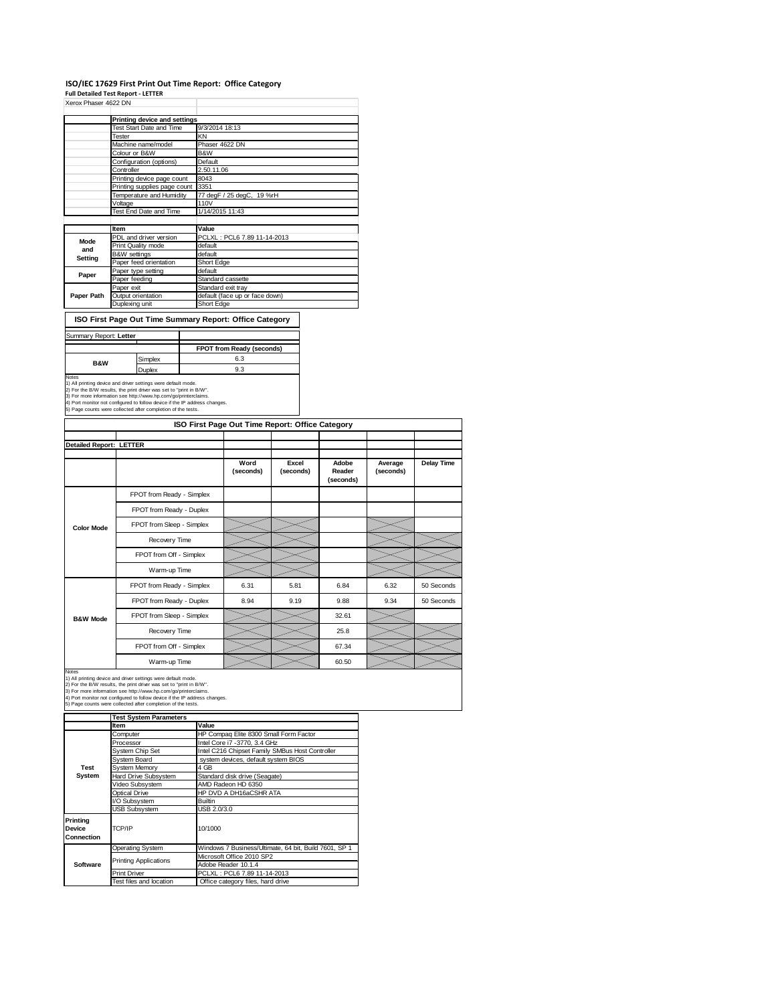## **ISO/IEC 17629 First Print Out Time Report: Office Category**

|                                           | Xerox Phaser 4622 DN                                                                                                                          |               |                              |                                                                    |           |  |           |           |  |
|-------------------------------------------|-----------------------------------------------------------------------------------------------------------------------------------------------|---------------|------------------------------|--------------------------------------------------------------------|-----------|--|-----------|-----------|--|
|                                           | <b>Printing device and settings</b>                                                                                                           |               |                              |                                                                    |           |  |           |           |  |
|                                           | Test Start Date and Time                                                                                                                      |               | 9/3/2014 18:13               |                                                                    |           |  |           |           |  |
|                                           | <b>Tester</b>                                                                                                                                 |               | KΝ                           |                                                                    |           |  |           |           |  |
|                                           | Machine name/model                                                                                                                            |               | Phaser 4622 DN               |                                                                    |           |  |           |           |  |
|                                           | Colour or B&W                                                                                                                                 |               | B&W                          |                                                                    |           |  |           |           |  |
|                                           | Configuration (options)<br>Controller                                                                                                         |               |                              | Default<br>2.50.11.06<br>8043<br>3351<br>77 degF / 25 degC, 19 %rH |           |  |           |           |  |
|                                           | Printing device page count                                                                                                                    |               |                              |                                                                    |           |  |           |           |  |
|                                           | Printing supplies page count                                                                                                                  |               |                              |                                                                    |           |  |           |           |  |
|                                           | Temperature and Humidity                                                                                                                      |               |                              |                                                                    |           |  |           |           |  |
|                                           | Voltage<br>Test End Date and Time                                                                                                             |               | 110V                         |                                                                    |           |  |           |           |  |
|                                           |                                                                                                                                               |               | 1/14/2015 11:43              |                                                                    |           |  |           |           |  |
|                                           | Item                                                                                                                                          |               | Value                        |                                                                    |           |  |           |           |  |
| Mode                                      | PDL and driver version                                                                                                                        |               |                              | PCLXL: PCL6 7.89 11-14-2013                                        |           |  |           |           |  |
| and                                       | Print Quality mode                                                                                                                            |               | default                      |                                                                    |           |  |           |           |  |
| Setting                                   | B&W settings<br>Paper feed orientation                                                                                                        |               | default<br><b>Short Edge</b> |                                                                    |           |  |           |           |  |
|                                           | Paper type setting                                                                                                                            |               | default                      |                                                                    |           |  |           |           |  |
| Paper                                     | Paper feeding                                                                                                                                 |               |                              | Standard cassette                                                  |           |  |           |           |  |
|                                           | Paper exit                                                                                                                                    |               | Standard exit tray           |                                                                    |           |  |           |           |  |
| Paper Path                                | Output orientation                                                                                                                            |               |                              | default (face up or face down)                                     |           |  |           |           |  |
|                                           | Duplexing unit                                                                                                                                |               | Short Edge                   |                                                                    |           |  |           |           |  |
|                                           | ISO First Page Out Time Summary Report: Office Category                                                                                       |               |                              |                                                                    |           |  |           |           |  |
| Summary Report: Letter                    |                                                                                                                                               |               |                              |                                                                    |           |  |           |           |  |
|                                           |                                                                                                                                               |               |                              | FPOT from Ready (seconds)                                          |           |  |           |           |  |
| <b>B&amp;W</b>                            | Simplex                                                                                                                                       |               |                              | 6.3                                                                |           |  |           |           |  |
|                                           | Duplex                                                                                                                                        |               |                              | 9.3                                                                |           |  |           |           |  |
| Notes                                     | 1) All printing device and driver settings were default mode.                                                                                 |               |                              |                                                                    |           |  |           |           |  |
|                                           | 2) For the B/W results, the print driver was set to "print in B/W".                                                                           |               |                              |                                                                    |           |  |           |           |  |
|                                           | 3) For more information see http://www.hp.com/go/printerclaims.<br>4) Port monitor not configured to follow device if the IP address changes. |               |                              |                                                                    |           |  |           |           |  |
|                                           | 5) Page counts were collected after completion of the tests.                                                                                  |               |                              |                                                                    |           |  |           |           |  |
|                                           |                                                                                                                                               |               |                              | ISO First Page Out Time Report: Office Category                    |           |  |           |           |  |
|                                           |                                                                                                                                               |               |                              |                                                                    |           |  |           |           |  |
| Detailed Report: LETTER                   |                                                                                                                                               |               |                              |                                                                    |           |  |           |           |  |
|                                           |                                                                                                                                               |               |                              |                                                                    |           |  |           |           |  |
|                                           |                                                                                                                                               |               |                              | Word                                                               | Excel     |  | Adobe     | Average   |  |
|                                           |                                                                                                                                               |               |                              | (seconds)                                                          | (seconds) |  | Reader    | (seconds) |  |
|                                           |                                                                                                                                               |               |                              |                                                                    |           |  | (seconds) |           |  |
|                                           | FPOT from Ready - Simplex                                                                                                                     |               |                              |                                                                    |           |  |           |           |  |
|                                           |                                                                                                                                               |               |                              |                                                                    |           |  |           |           |  |
|                                           | FPOT from Ready - Duplex                                                                                                                      |               |                              |                                                                    |           |  |           |           |  |
|                                           |                                                                                                                                               |               |                              |                                                                    |           |  |           |           |  |
|                                           | FPOT from Sleep - Simplex                                                                                                                     |               |                              |                                                                    |           |  |           |           |  |
| <b>Color Mode</b>                         |                                                                                                                                               |               |                              |                                                                    |           |  |           |           |  |
|                                           |                                                                                                                                               | Recovery Time |                              |                                                                    |           |  |           |           |  |
|                                           | FPOT from Off - Simplex                                                                                                                       |               |                              |                                                                    |           |  |           |           |  |
|                                           |                                                                                                                                               |               |                              |                                                                    |           |  |           |           |  |
|                                           |                                                                                                                                               | Warm-up Time  |                              |                                                                    |           |  |           |           |  |
|                                           | FPOT from Ready - Simplex                                                                                                                     |               |                              | 6.31                                                               | 5.81      |  | 6.84      | 6.32      |  |
|                                           |                                                                                                                                               |               |                              |                                                                    |           |  |           |           |  |
|                                           | FPOT from Ready - Duplex                                                                                                                      |               |                              | 8.94                                                               | 9.19      |  | 9.88      | 9.34      |  |
|                                           | FPOT from Sleep - Simplex                                                                                                                     |               |                              |                                                                    |           |  | 32.61     |           |  |
| <b>B&amp;W Mode</b>                       |                                                                                                                                               |               |                              |                                                                    |           |  |           |           |  |
|                                           |                                                                                                                                               | Recovery Time |                              |                                                                    |           |  | 25.8      |           |  |
|                                           | FPOT from Off - Simplex                                                                                                                       |               |                              |                                                                    |           |  | 67.34     |           |  |
|                                           |                                                                                                                                               |               |                              |                                                                    |           |  |           |           |  |
|                                           |                                                                                                                                               | Warm-up lime  |                              |                                                                    |           |  | 60.50     |           |  |
|                                           | 1) All printing device and driver settings were default mode.                                                                                 |               |                              |                                                                    |           |  |           |           |  |
|                                           | 2) For the B/W results, the print driver was set to "print in B/W".                                                                           |               |                              |                                                                    |           |  |           |           |  |
|                                           | 3) For more information see http://www.hp.com/go/printerclaims.<br>4) Port monitor not configured to follow device if the IP address changes. |               |                              |                                                                    |           |  |           |           |  |
|                                           | 5) Page counts were collected after completion of the tests.                                                                                  |               |                              |                                                                    |           |  |           |           |  |
|                                           | <b>Test System Parameters</b>                                                                                                                 |               |                              |                                                                    |           |  |           |           |  |
|                                           | Item                                                                                                                                          |               | Value                        |                                                                    |           |  |           |           |  |
|                                           | Computer                                                                                                                                      |               |                              | HP Compaq Elite 8300 Small Form Factor                             |           |  |           |           |  |
|                                           | Processor                                                                                                                                     |               |                              | Intel Core i7 -3770, 3.4 GHz                                       |           |  |           |           |  |
|                                           | System Chip Set                                                                                                                               |               |                              | Intel C216 Chipset Family SMBus Host Controller                    |           |  |           |           |  |
| <b>Test</b>                               | System Board                                                                                                                                  |               | 4 GB                         | system devices, default system BIOS                                |           |  |           |           |  |
| System                                    | <b>System Memory</b><br><b>Hard Drive Subsystem</b>                                                                                           |               |                              | Standard disk drive (Seagate)                                      |           |  |           |           |  |
|                                           | Video Subsystem                                                                                                                               |               |                              | AMD Radeon HD 6350                                                 |           |  |           |           |  |
|                                           | <b>Optical Drive</b>                                                                                                                          |               |                              | HP DVD A DH16aCSHR ATA                                             |           |  |           |           |  |
|                                           | I/O Subsystem                                                                                                                                 |               | Builtin                      |                                                                    |           |  |           |           |  |
|                                           | <b>USB Subsystem</b>                                                                                                                          |               | USB 2.0/3.0                  |                                                                    |           |  |           |           |  |
|                                           |                                                                                                                                               |               |                              |                                                                    |           |  |           |           |  |
|                                           | TCP/IP                                                                                                                                        |               | 10/1000                      |                                                                    |           |  |           |           |  |
| Notes<br>Printing<br>Device<br>Connection | Operating System                                                                                                                              |               |                              | Windows 7 Business/Ultimate, 64 bit, Build 7601, SP 1              |           |  |           |           |  |

Microsoft Office 2010 SP2 Adobe Reader 10.1.4

Print Driver PCLXL: PCL6 7.89 11-14-2013<br>Test files and location Office category files, hard drive

**Software**

Printing Applications

**Delay Time**

50 Seconds For Seconds